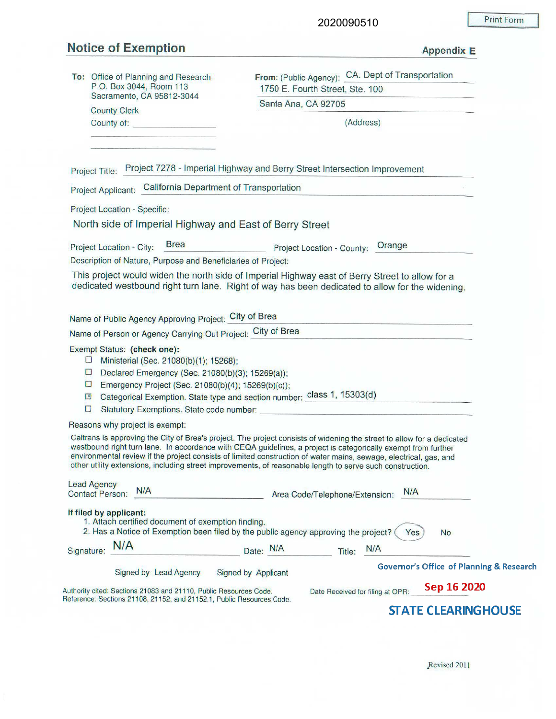## **Notice of Exemption Appendix E**

 $\mathfrak I$ 

|  |  | ppendix |  |
|--|--|---------|--|

| To: Office of Planning and Research<br>P.O. Box 3044, Room 113                            | From: (Public Agency): CA. Dept of Transportation<br>1750 E. Fourth Street, Ste. 100                                                                                                                                                                                                                                                                                                                                                                                      |  |  |  |  |
|-------------------------------------------------------------------------------------------|---------------------------------------------------------------------------------------------------------------------------------------------------------------------------------------------------------------------------------------------------------------------------------------------------------------------------------------------------------------------------------------------------------------------------------------------------------------------------|--|--|--|--|
| Sacramento, CA 95812-3044<br><b>County Clerk</b>                                          | Santa Ana, CA 92705                                                                                                                                                                                                                                                                                                                                                                                                                                                       |  |  |  |  |
| County of: <b>County of:</b>                                                              | (Address)                                                                                                                                                                                                                                                                                                                                                                                                                                                                 |  |  |  |  |
|                                                                                           |                                                                                                                                                                                                                                                                                                                                                                                                                                                                           |  |  |  |  |
|                                                                                           |                                                                                                                                                                                                                                                                                                                                                                                                                                                                           |  |  |  |  |
|                                                                                           | Project Title: Project 7278 - Imperial Highway and Berry Street Intersection Improvement                                                                                                                                                                                                                                                                                                                                                                                  |  |  |  |  |
| Project Applicant: California Department of Transportation                                |                                                                                                                                                                                                                                                                                                                                                                                                                                                                           |  |  |  |  |
| Project Location - Specific:                                                              |                                                                                                                                                                                                                                                                                                                                                                                                                                                                           |  |  |  |  |
| North side of Imperial Highway and East of Berry Street                                   |                                                                                                                                                                                                                                                                                                                                                                                                                                                                           |  |  |  |  |
| <b>Brea</b><br>Project Location - City:                                                   | Project Location - County: Orange                                                                                                                                                                                                                                                                                                                                                                                                                                         |  |  |  |  |
| Description of Nature, Purpose and Beneficiaries of Project:                              |                                                                                                                                                                                                                                                                                                                                                                                                                                                                           |  |  |  |  |
|                                                                                           | This project would widen the north side of Imperial Highway east of Berry Street to allow for a<br>dedicated westbound right turn lane. Right of way has been dedicated to allow for the widening.                                                                                                                                                                                                                                                                        |  |  |  |  |
|                                                                                           |                                                                                                                                                                                                                                                                                                                                                                                                                                                                           |  |  |  |  |
| Name of Public Agency Approving Project: City of Brea                                     |                                                                                                                                                                                                                                                                                                                                                                                                                                                                           |  |  |  |  |
| Name of Person or Agency Carrying Out Project: City of Brea                               |                                                                                                                                                                                                                                                                                                                                                                                                                                                                           |  |  |  |  |
| Exempt Status: (check one):                                                               |                                                                                                                                                                                                                                                                                                                                                                                                                                                                           |  |  |  |  |
| Ministerial (Sec. 21080(b)(1); 15268);<br>$\Box$                                          |                                                                                                                                                                                                                                                                                                                                                                                                                                                                           |  |  |  |  |
| Declared Emergency (Sec. 21080(b)(3); 15269(a));<br>$\mathcal{L}^{\mathcal{L}}$<br>$\Box$ |                                                                                                                                                                                                                                                                                                                                                                                                                                                                           |  |  |  |  |
| Emergency Project (Sec. 21080(b)(4); 15269(b)(c));<br>$\boxed{\mathbf{x}}$                | Categorical Exemption. State type and section number: Class 1, 15303(d)                                                                                                                                                                                                                                                                                                                                                                                                   |  |  |  |  |
| □                                                                                         |                                                                                                                                                                                                                                                                                                                                                                                                                                                                           |  |  |  |  |
| Reasons why project is exempt:                                                            |                                                                                                                                                                                                                                                                                                                                                                                                                                                                           |  |  |  |  |
|                                                                                           | Caltrans is approving the City of Brea's project. The project consists of widening the street to allow for a dedicated<br>westbound right turn lane. In accordance with CEQA guidelines, a project is categorically exempt from further<br>environmental review if the project consists of limited construction of water mains, sewage, electrical, gas, and<br>other utility extensions, including street improvements, of reasonable length to serve such construction. |  |  |  |  |
| <b>Lead Agency</b><br>N/A<br><b>Contact Person:</b>                                       | N/A<br>Area Code/Telephone/Extension:                                                                                                                                                                                                                                                                                                                                                                                                                                     |  |  |  |  |
| If filed by applicant:<br>1. Attach certified document of exemption finding.              | 2. Has a Notice of Exemption been filed by the public agency approving the project? (<br><b>No</b><br>Yes                                                                                                                                                                                                                                                                                                                                                                 |  |  |  |  |
| N/A<br>Signature:                                                                         | N/A<br>Date: N/A<br>Title:                                                                                                                                                                                                                                                                                                                                                                                                                                                |  |  |  |  |
| Signed by Lead Agency Signed by Applicant                                                 | <b>Governor's Office of Planning &amp; Research</b>                                                                                                                                                                                                                                                                                                                                                                                                                       |  |  |  |  |
| Authority cited: Sections 21083 and 21110, Public Resources Code.                         | Sep 16 2020<br>Date Received for filing at OPR:                                                                                                                                                                                                                                                                                                                                                                                                                           |  |  |  |  |
| Reference: Sections 21108, 21152, and 21152.1, Public Resources Code.                     |                                                                                                                                                                                                                                                                                                                                                                                                                                                                           |  |  |  |  |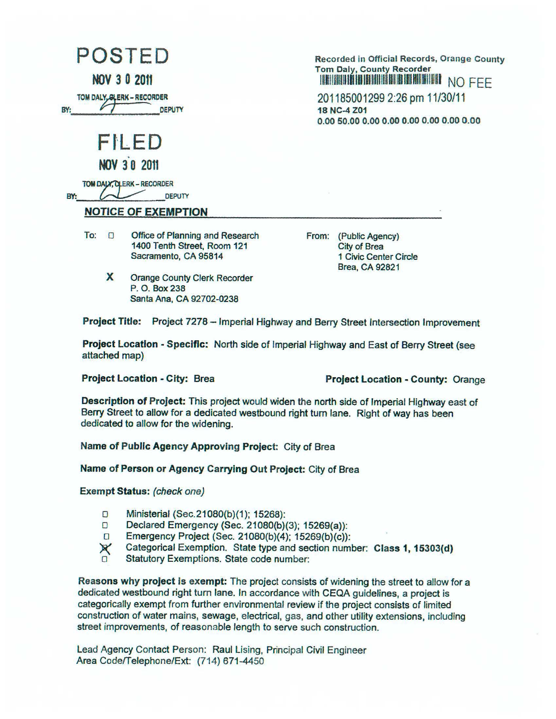POSTED

**NOV 3 0 2011** 

**TOM DALY, GLERK - RECORDER** 

FI .. ED

|  | <b>NOV 30 2011</b> |
|--|--------------------|
|  |                    |

**10M DAY, QLERK - RECORDER BY: FRANCISCO CONDATA**<br> **BY:** DEPUTY

## **NOTICE OF EXEMPTION**

- To:  $\Box$  Office of Planning and Research 1400 Tenth Street, Room 121 Sacramento, CA 95814
	- **X** Orange County Clerk Recorder P. O. Box 238 Santa Ana, CA 92702-0238

**Recorded in Official Records, Orange County Tom Daly, County Recorder**  lllllllfflllllUllllllllllllllllllllllll~Hll~IIDIII NO FEE

201185001299 2:26 pm 11/30/11 **18 NC-4 Z01 0.00 50.00 0.00 0.00 0.00 0.00 0.00 0.00** 

From: (Public Agency) City of Brea 1 Civic Center Circle Brea, CA 92821

**Project Title:** Project 7278 - Imperial Highway and Berry Street Intersection Improvement

**Project Location** - **Specific:** North side of Imperial Highway and East of Berry Street (see attached map)

**Project Location** - **City:** Brea **Project Location** - **County:** Orange

**Description of Project:** This project would widen the north side of Imperial Highway east of Berry Street to allow for a dedicated westbound right tum lane. Right of way has been dedicated to allow for the widening.

**Name of Public Agency Approving Project:** City of Brea

**Name of Person or Agency Carrying Out Project:** City of Brea

**Exempt Status:** (check one)

- o Ministerial (Sec.21080(b)(1); 15268):
- o Declared Emergency (Sec. 21080(b)(3); 15269(a)):
- o Emergency Project (Sec. 21080(b)(4); 15269(b)(c)):
- )( Categorical Exemption. State type and section number: **Class 1, 15303(d)**
- Statutory Exemptions. State code number:

**Reasons why project is exempt:** The project consists of widening the street to allow for a dedicated westbound right tum lane. In accordance with CEQA guidelines, a project is categorically exempt from further environmental review if the project consists of limited construction of water mains, sewage, electrical, gas, and other utility extensions, including street improvements, of reasonable length to serve such construction.

Lead Agency Contact Person: Raul Lising, Principal Civil Engineer Area Code/Telephone/Ext: (714) 671-4450